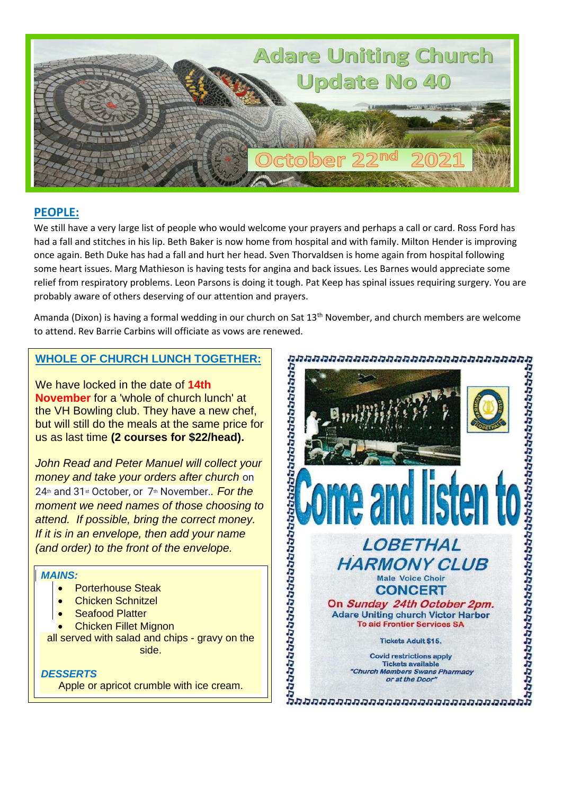

### **PEOPLE:**

We still have a very large list of people who would welcome your prayers and perhaps a call or card. Ross Ford has had a fall and stitches in his lip. Beth Baker is now home from hospital and with family. Milton Hender is improving once again. Beth Duke has had a fall and hurt her head. Sven Thorvaldsen is home again from hospital following some heart issues. Marg Mathieson is having tests for angina and back issues. Les Barnes would appreciate some relief from respiratory problems. Leon Parsons is doing it tough. Pat Keep has spinal issues requiring surgery. You are probably aware of others deserving of our attention and prayers.

Amanda (Dixon) is having a formal wedding in our church on Sat 13th November, and church members are welcome

## **WHOLE OF CHURCH LUNCH TOGETHER:**

We have locked in the date of **14th November** for a 'whole of church lunch' at the VH Bowling club. They have a new chef, but will still do the meals at the same price for us as last time **(2 courses for \$22/head).**

*John Read and Peter Manuel will collect your money and take your orders after church* on 24<sup>th</sup> and 31<sup>st</sup> October, or 7<sup>th</sup> November. *For the moment we need names of those choosing to attend. If possible, bring the correct money. If it is in an envelope, then add your name (and order) to the front of the envelope.*

#### *MAINS:*

- Porterhouse Steak
- Chicken Schnitzel
- **Seafood Platter**
- Chicken Fillet Mignon

all served with salad and chips - gravy on the side.

#### *DESSERTS*

Apple or apricot crumble with ice cream.

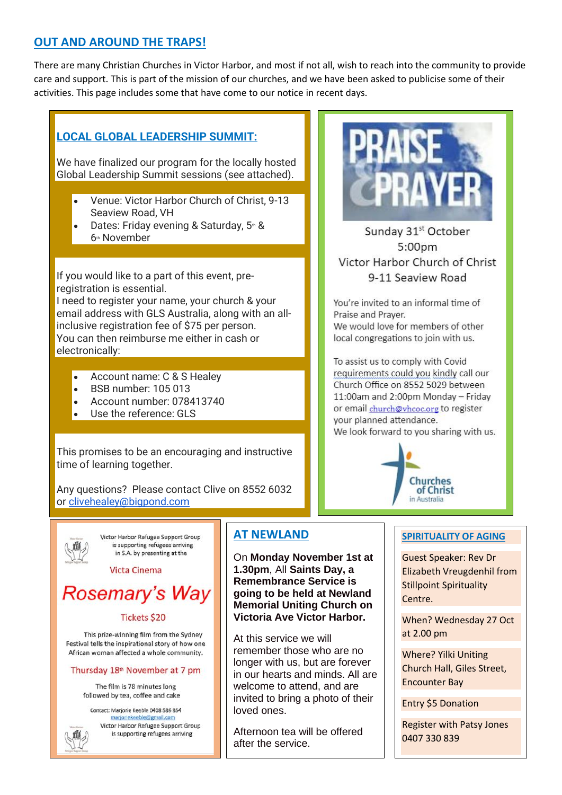## **OUT AND AROUND THE TRAPS!**

There are many Christian Churches in Victor Harbor, and most if not all, wish to reach into the community to provide care and support. This is part of the mission of our churches, and we have been asked to publicise some of their activities. This page includes some that have come to our notice in recent days.

# **LOCAL GLOBAL LEADERSHIP SUMMIT:**

We have finalized our program for the locally hosted Global Leadership Summit sessions (see attached).

- Venue: Victor Harbor Church of Christ, 9-13 Seaview Road, VH
- Dates: Friday evening & Saturday, 5th & 6<sup>th</sup> November

If you would like to a part of this event, preregistration is essential.

I need to register your name, your church & your email address with GLS Australia, along with an allinclusive registration fee of \$75 per person. You can then reimburse me either in cash or electronically:

- Account name: C & S Healey
- BSB number: 105 013
- Account number: 078413740
- Use the reference: GLS

This promises to be an encouraging and instructive time of learning together.

Any questions? Please contact Clive on 8552 6032 or [clivehealey@bigpond.com](mailto:clivehealey@bigpond.com)



Victor Harbor Refugee Support Group is supporting refugees arriving in S.A. by presenting at the

**Victa Cinema** 

# **Rosemary's Way**

#### **Tickets \$20**

This prize-winning film from the Sydney Festival tells the inspirational story of how one African woman affected a whole community.

#### Thursday 18<sup>th</sup> November at 7 pm

The film is 78 minutes long followed by tea, coffee and cake

Contact: Marjorie Keeble 0408 586 854 marjoriekeeble@gmail.com Victor Harbor Refugee Support Group is supporting refugees arriving

# **AT NEWLAND**

On **Monday November 1st at 1.30pm**, All **Saints Day, a Remembrance Service is going to be held at Newland Memorial Uniting Church on Victoria Ave Victor Harbor.**

At this service we will remember those who are no longer with us, but are forever in our hearts and minds. All are welcome to attend, and are invited to bring a photo of their loved ones.

Afternoon tea will be offered after the service.



Sunday 31<sup>st</sup> October  $5:00<sub>pm</sub>$ Victor Harbor Church of Christ 9-11 Seaview Road

You're invited to an informal time of Praise and Prayer. We would love for members of other local congregations to join with us.

To assist us to comply with Covid requirements could you kindly call our Church Office on 8552 5029 between 11:00am and 2:00pm Monday - Friday or email church@vhcoc.org to register your planned attendance. We look forward to you sharing with us.



#### **SPIRITUALITY OF AGING**

Guest Speaker: Rev Dr Elizabeth Vreugdenhil from Stillpoint Spirituality Centre.

When? Wednesday 27 Oct at 2.00 pm

Where? Yilki Uniting Church Hall, Giles Street, Encounter Bay

Entry \$5 Donation

Register with Patsy Jones 0407 330 839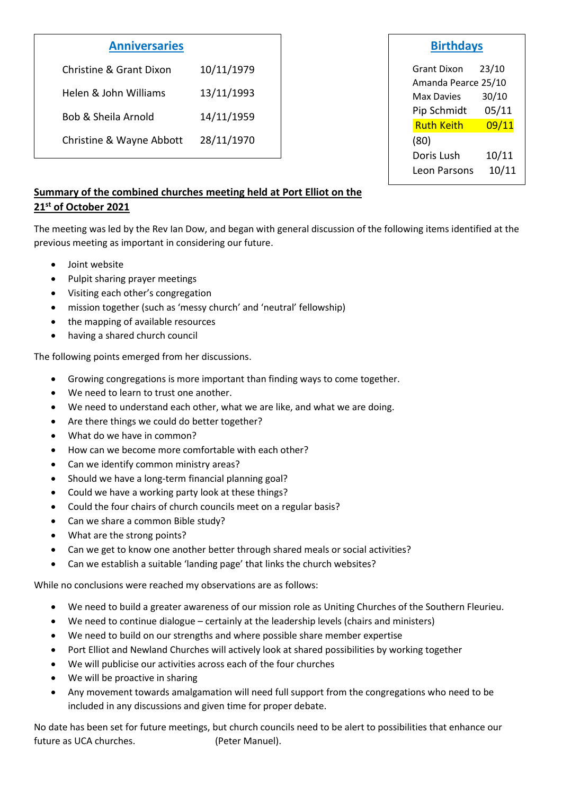# **Anniversaries**

| Christine & Grant Dixon  | 10/11/1979 |
|--------------------------|------------|
| Helen & John Williams    | 13/11/1993 |
| Bob & Sheila Arnold      | 14/11/1959 |
| Christine & Wayne Abbott | 28/11/1970 |

| sırtnda |
|---------|
|---------|

Grant Dixon 23/10 Amanda Pearce 25/10 Max Davies 30/10 Pip Schmidt 05/11 Ruth Keith 09/11 (80) Doris Lush 10/11 Leon Parsons 10/11

## **Summary of the combined churches meeting held at Port Elliot on the 21st of October 2021**

The meeting was led by the Rev Ian Dow, and began with general discussion of the following items identified at the previous meeting as important in considering our future.

- Joint website
- Pulpit sharing prayer meetings
- Visiting each other's congregation
- mission together (such as 'messy church' and 'neutral' fellowship)
- the mapping of available resources
- having a shared church council

The following points emerged from her discussions.

- Growing congregations is more important than finding ways to come together.
- We need to learn to trust one another.
- We need to understand each other, what we are like, and what we are doing.
- Are there things we could do better together?
- What do we have in common?
- How can we become more comfortable with each other?
- Can we identify common ministry areas?
- Should we have a long-term financial planning goal?
- Could we have a working party look at these things?
- Could the four chairs of church councils meet on a regular basis?
- Can we share a common Bible study?
- What are the strong points?
- Can we get to know one another better through shared meals or social activities?
- Can we establish a suitable 'landing page' that links the church websites?

While no conclusions were reached my observations are as follows:

- We need to build a greater awareness of our mission role as Uniting Churches of the Southern Fleurieu.
- We need to continue dialogue certainly at the leadership levels (chairs and ministers)
- We need to build on our strengths and where possible share member expertise
- Port Elliot and Newland Churches will actively look at shared possibilities by working together
- We will publicise our activities across each of the four churches
- We will be proactive in sharing
- Any movement towards amalgamation will need full support from the congregations who need to be included in any discussions and given time for proper debate.

No date has been set for future meetings, but church councils need to be alert to possibilities that enhance our future as UCA churches. (Peter Manuel).